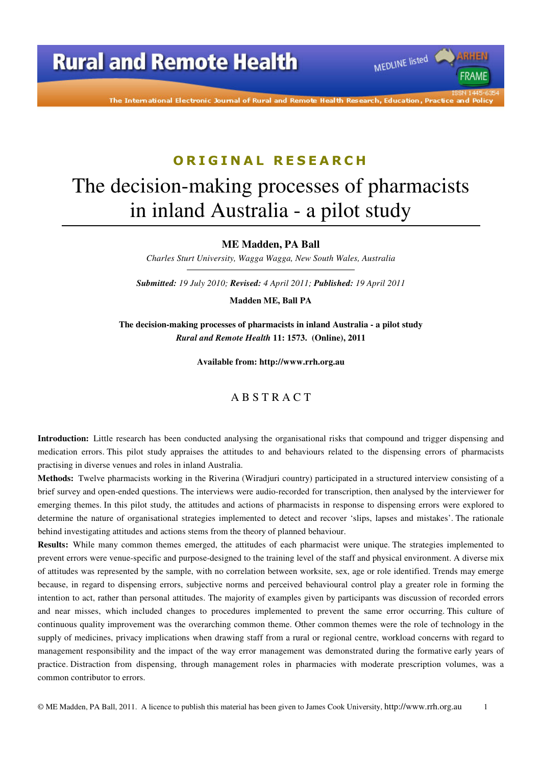The International Electronic Journal of Rural and Remote Health Research, Education, Practice and Policy

MEDLINE listed

FRAME

#### **O R I G I N A L R E S E A R C H**

# The decision-making processes of pharmacists in inland Australia - a pilot study

**ME Madden, PA Ball** 

*Charles Sturt University, Wagga Wagga, New South Wales, Australia* 

*Submitted: 19 July 2010; Revised: 4 April 2011; Published: 19 April 2011* 

**Madden ME, Ball PA** 

**The decision-making processes of pharmacists in inland Australia - a pilot study**  *Rural and Remote Health* **11: 1573. (Online), 2011** 

**Available from: http://www.rrh.org.au** 

#### A B S T R A C T

**Introduction:** Little research has been conducted analysing the organisational risks that compound and trigger dispensing and medication errors. This pilot study appraises the attitudes to and behaviours related to the dispensing errors of pharmacists practising in diverse venues and roles in inland Australia.

**Methods:** Twelve pharmacists working in the Riverina (Wiradjuri country) participated in a structured interview consisting of a brief survey and open-ended questions. The interviews were audio-recorded for transcription, then analysed by the interviewer for emerging themes. In this pilot study, the attitudes and actions of pharmacists in response to dispensing errors were explored to determine the nature of organisational strategies implemented to detect and recover 'slips, lapses and mistakes'. The rationale behind investigating attitudes and actions stems from the theory of planned behaviour.

**Results:** While many common themes emerged, the attitudes of each pharmacist were unique. The strategies implemented to prevent errors were venue-specific and purpose-designed to the training level of the staff and physical environment. A diverse mix of attitudes was represented by the sample, with no correlation between worksite, sex, age or role identified. Trends may emerge because, in regard to dispensing errors, subjective norms and perceived behavioural control play a greater role in forming the intention to act, rather than personal attitudes. The majority of examples given by participants was discussion of recorded errors and near misses, which included changes to procedures implemented to prevent the same error occurring. This culture of continuous quality improvement was the overarching common theme. Other common themes were the role of technology in the supply of medicines, privacy implications when drawing staff from a rural or regional centre, workload concerns with regard to management responsibility and the impact of the way error management was demonstrated during the formative early years of practice. Distraction from dispensing, through management roles in pharmacies with moderate prescription volumes, was a common contributor to errors.

© ME Madden, PA Ball, 2011. A licence to publish this material has been given to James Cook University, http://www.rrh.org.au 1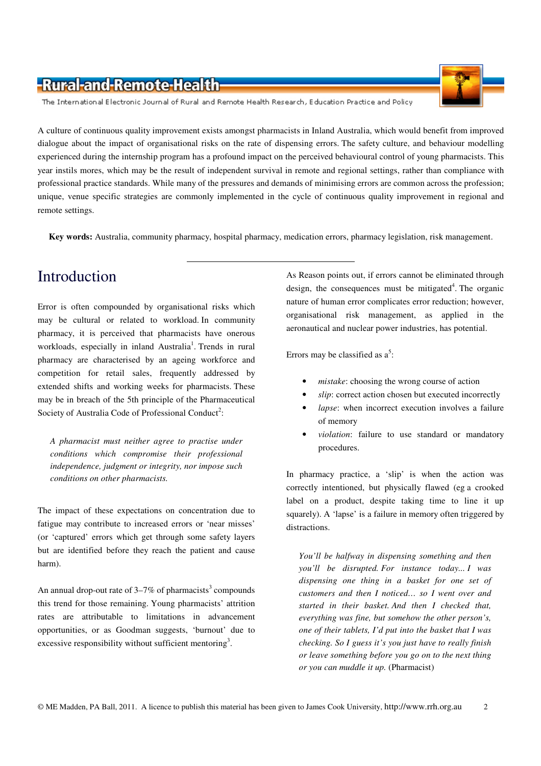

The International Electronic Journal of Rural and Remote Health Research, Education Practice and Policy

A culture of continuous quality improvement exists amongst pharmacists in Inland Australia, which would benefit from improved dialogue about the impact of organisational risks on the rate of dispensing errors. The safety culture, and behaviour modelling experienced during the internship program has a profound impact on the perceived behavioural control of young pharmacists. This year instils mores, which may be the result of independent survival in remote and regional settings, rather than compliance with professional practice standards. While many of the pressures and demands of minimising errors are common across the profession; unique, venue specific strategies are commonly implemented in the cycle of continuous quality improvement in regional and remote settings.

**Key words:** Australia, community pharmacy, hospital pharmacy, medication errors, pharmacy legislation, risk management.

## Introduction

Error is often compounded by organisational risks which may be cultural or related to workload. In community pharmacy, it is perceived that pharmacists have onerous workloads, especially in inland Australia<sup>1</sup>. Trends in rural pharmacy are characterised by an ageing workforce and competition for retail sales, frequently addressed by extended shifts and working weeks for pharmacists. These may be in breach of the 5th principle of the Pharmaceutical Society of Australia Code of Professional Conduct<sup>2</sup>:

*A pharmacist must neither agree to practise under conditions which compromise their professional independence, judgment or integrity, nor impose such conditions on other pharmacists.* 

The impact of these expectations on concentration due to fatigue may contribute to increased errors or 'near misses' (or 'captured' errors which get through some safety layers but are identified before they reach the patient and cause harm).

An annual drop-out rate of  $3-7\%$  of pharmacists<sup>3</sup> compounds this trend for those remaining. Young pharmacists' attrition rates are attributable to limitations in advancement opportunities, or as Goodman suggests, 'burnout' due to excessive responsibility without sufficient mentoring<sup>3</sup>.

As Reason points out, if errors cannot be eliminated through design, the consequences must be mitigated<sup>4</sup>. The organic nature of human error complicates error reduction; however, organisational risk management, as applied in the aeronautical and nuclear power industries, has potential.

Errors may be classified as  $a^5$ :

- mistake: choosing the wrong course of action
- slip: correct action chosen but executed incorrectly
- lapse: when incorrect execution involves a failure of memory
- *violation*: failure to use standard or mandatory procedures.

In pharmacy practice, a 'slip' is when the action was correctly intentioned, but physically flawed (eg a crooked label on a product, despite taking time to line it up squarely). A 'lapse' is a failure in memory often triggered by distractions.

*You'll be halfway in dispensing something and then you'll be disrupted. For instance today... I was dispensing one thing in a basket for one set of customers and then I noticed… so I went over and started in their basket. And then I checked that, everything was fine, but somehow the other person's, one of their tablets, I'd put into the basket that I was checking. So I guess it's you just have to really finish or leave something before you go on to the next thing or you can muddle it up.* (Pharmacist)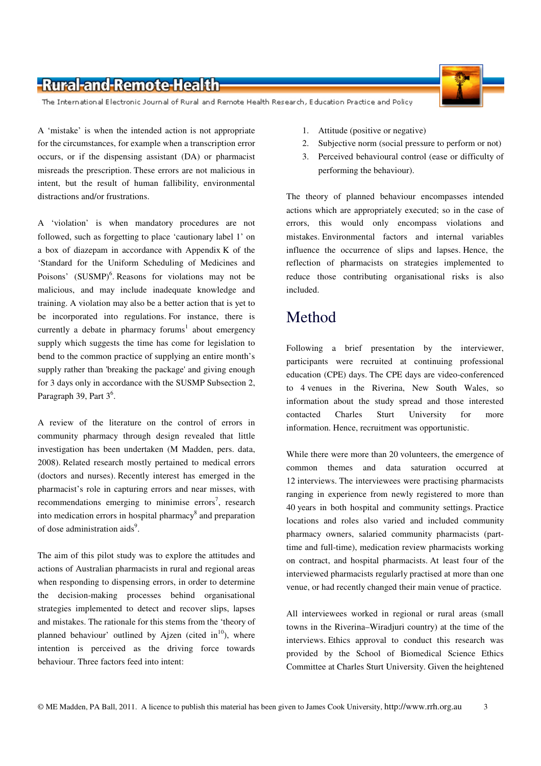The International Electronic Journal of Rural and Remote Health Research, Education Practice and Policy

A 'mistake' is when the intended action is not appropriate for the circumstances, for example when a transcription error occurs, or if the dispensing assistant (DA) or pharmacist misreads the prescription. These errors are not malicious in intent, but the result of human fallibility, environmental distractions and/or frustrations.

A 'violation' is when mandatory procedures are not followed, such as forgetting to place 'cautionary label 1' on a box of diazepam in accordance with Appendix K of the 'Standard for the Uniform Scheduling of Medicines and Poisons' (SUSMP)<sup>6</sup>. Reasons for violations may not be malicious, and may include inadequate knowledge and training. A violation may also be a better action that is yet to be incorporated into regulations. For instance, there is currently a debate in pharmacy forums<sup>1</sup> about emergency supply which suggests the time has come for legislation to bend to the common practice of supplying an entire month's supply rather than 'breaking the package' and giving enough for 3 days only in accordance with the SUSMP Subsection 2, Paragraph 39, Part  $3^6$ .

A review of the literature on the control of errors in community pharmacy through design revealed that little investigation has been undertaken (M Madden, pers. data, 2008). Related research mostly pertained to medical errors (doctors and nurses). Recently interest has emerged in the pharmacist's role in capturing errors and near misses, with recommendations emerging to minimise errors<sup>7</sup>, research into medication errors in hospital pharmacy<sup>8</sup> and preparation of dose administration aids<sup>9</sup>.

The aim of this pilot study was to explore the attitudes and actions of Australian pharmacists in rural and regional areas when responding to dispensing errors, in order to determine the decision-making processes behind organisational strategies implemented to detect and recover slips, lapses and mistakes. The rationale for this stems from the 'theory of planned behaviour' outlined by Ajzen (cited in $^{10}$ ), where intention is perceived as the driving force towards behaviour. Three factors feed into intent:

- 1. Attitude (positive or negative)
- 2. Subjective norm (social pressure to perform or not)
- 3. Perceived behavioural control (ease or difficulty of performing the behaviour).

The theory of planned behaviour encompasses intended actions which are appropriately executed; so in the case of errors, this would only encompass violations and mistakes. Environmental factors and internal variables influence the occurrence of slips and lapses. Hence, the reflection of pharmacists on strategies implemented to reduce those contributing organisational risks is also included.

### Method

Following a brief presentation by the interviewer, participants were recruited at continuing professional education (CPE) days. The CPE days are video-conferenced to 4 venues in the Riverina, New South Wales, so information about the study spread and those interested contacted Charles Sturt University for more information. Hence, recruitment was opportunistic.

While there were more than 20 volunteers, the emergence of common themes and data saturation occurred at 12 interviews. The interviewees were practising pharmacists ranging in experience from newly registered to more than 40 years in both hospital and community settings. Practice locations and roles also varied and included community pharmacy owners, salaried community pharmacists (parttime and full-time), medication review pharmacists working on contract, and hospital pharmacists. At least four of the interviewed pharmacists regularly practised at more than one venue, or had recently changed their main venue of practice.

All interviewees worked in regional or rural areas (small towns in the Riverina–Wiradjuri country) at the time of the interviews. Ethics approval to conduct this research was provided by the School of Biomedical Science Ethics Committee at Charles Sturt University. Given the heightened

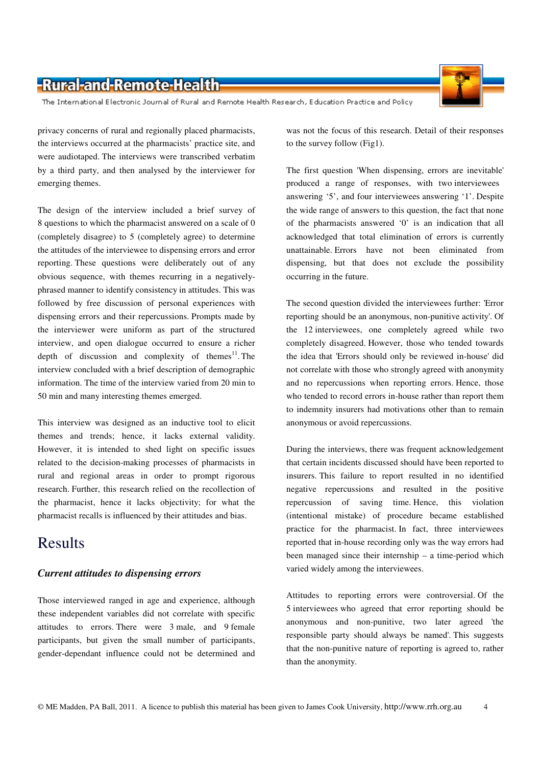The International Electronic Journal of Rural and Remote Health Research, Education Practice and Policy

privacy concerns of rural and regionally placed pharmacists, the interviews occurred at the pharmacists' practice site, and were audiotaped. The interviews were transcribed verbatim by a third party, and then analysed by the interviewer for emerging themes.

The design of the interview included a brief survey of 8 questions to which the pharmacist answered on a scale of 0 (completely disagree) to 5 (completely agree) to determine the attitudes of the interviewee to dispensing errors and error reporting. These questions were deliberately out of any obvious sequence, with themes recurring in a negativelyphrased manner to identify consistency in attitudes. This was followed by free discussion of personal experiences with dispensing errors and their repercussions. Prompts made by the interviewer were uniform as part of the structured interview, and open dialogue occurred to ensure a richer depth of discussion and complexity of themes<sup>11</sup>. The interview concluded with a brief description of demographic information. The time of the interview varied from 20 min to 50 min and many interesting themes emerged.

This interview was designed as an inductive tool to elicit themes and trends; hence, it lacks external validity. However, it is intended to shed light on specific issues related to the decision-making processes of pharmacists in rural and regional areas in order to prompt rigorous research. Further, this research relied on the recollection of the pharmacist, hence it lacks objectivity; for what the pharmacist recalls is influenced by their attitudes and bias.

## Results

#### *Current attitudes to dispensing errors*

Those interviewed ranged in age and experience, although these independent variables did not correlate with specific attitudes to errors. There were 3 male, and 9 female participants, but given the small number of participants, gender-dependant influence could not be determined and was not the focus of this research. Detail of their responses to the survey follow (Fig1).

The first question 'When dispensing, errors are inevitable' produced a range of responses, with two interviewees answering '5', and four interviewees answering '1'. Despite the wide range of answers to this question, the fact that none of the pharmacists answered '0' is an indication that all acknowledged that total elimination of errors is currently unattainable. Errors have not been eliminated from dispensing, but that does not exclude the possibility occurring in the future.

The second question divided the interviewees further: 'Error reporting should be an anonymous, non-punitive activity'. Of the 12 interviewees, one completely agreed while two completely disagreed. However, those who tended towards the idea that 'Errors should only be reviewed in-house' did not correlate with those who strongly agreed with anonymity and no repercussions when reporting errors. Hence, those who tended to record errors in-house rather than report them to indemnity insurers had motivations other than to remain anonymous or avoid repercussions.

During the interviews, there was frequent acknowledgement that certain incidents discussed should have been reported to insurers. This failure to report resulted in no identified negative repercussions and resulted in the positive repercussion of saving time. Hence, this violation (intentional mistake) of procedure became established practice for the pharmacist. In fact, three interviewees reported that in-house recording only was the way errors had been managed since their internship – a time-period which varied widely among the interviewees.

Attitudes to reporting errors were controversial. Of the 5 interviewees who agreed that error reporting should be anonymous and non-punitive, two later agreed 'the responsible party should always be named'. This suggests that the non-punitive nature of reporting is agreed to, rather than the anonymity.

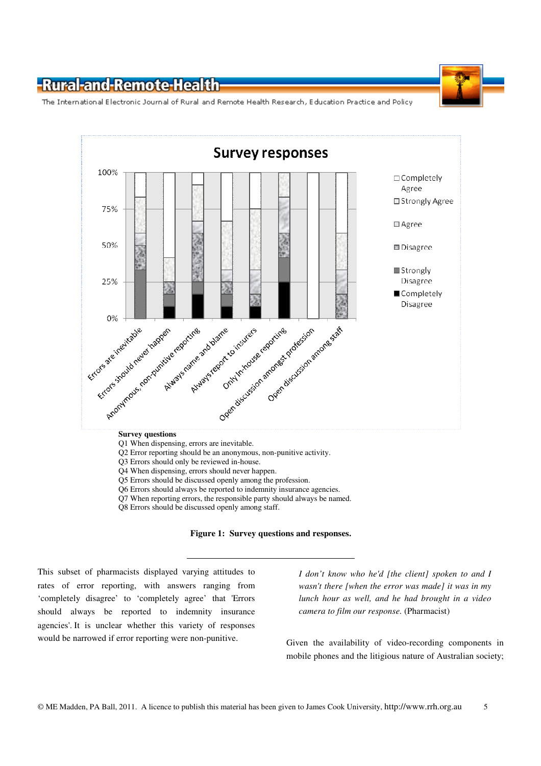The International Electronic Journal of Rural and Remote Health Research, Education Practice and Policy



- Q1 When dispensing, errors are inevitable.
- Q2 Error reporting should be an anonymous, non-punitive activity.
- Q3 Errors should only be reviewed in-house.
- Q4 When dispensing, errors should never happen.
- Q5 Errors should be discussed openly among the profession.
- Q6 Errors should always be reported to indemnity insurance agencies.
- Q7 When reporting errors, the responsible party should always be named.
- Q8 Errors should be discussed openly among staff.



This subset of pharmacists displayed varying attitudes to rates of error reporting, with answers ranging from 'completely disagree' to 'completely agree' that 'Errors should always be reported to indemnity insurance agencies'. It is unclear whether this variety of responses would be narrowed if error reporting were non-punitive.

*I don't know who he'd [the client] spoken to and I wasn't there [when the error was made] it was in my lunch hour as well, and he had brought in a video camera to film our response.* (Pharmacist)

Given the availability of video-recording components in mobile phones and the litigious nature of Australian society;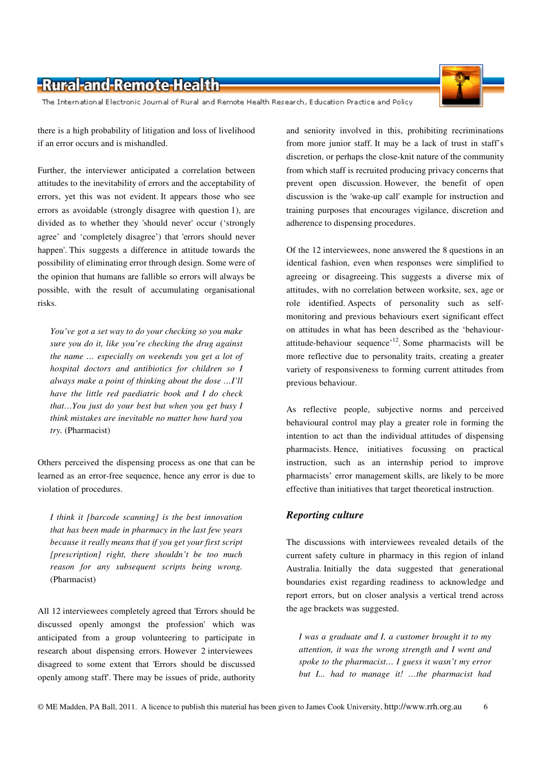The International Electronic Journal of Rural and Remote Health Research, Education Practice and Policy

there is a high probability of litigation and loss of livelihood if an error occurs and is mishandled.

Further, the interviewer anticipated a correlation between attitudes to the inevitability of errors and the acceptability of errors, yet this was not evident. It appears those who see errors as avoidable (strongly disagree with question 1), are divided as to whether they 'should never' occur ('strongly agree' and 'completely disagree') that 'errors should never happen'. This suggests a difference in attitude towards the possibility of eliminating error through design. Some were of the opinion that humans are fallible so errors will always be possible, with the result of accumulating organisational risks.

*You've got a set way to do your checking so you make sure you do it, like you're checking the drug against the name … especially on weekends you get a lot of hospital doctors and antibiotics for children so I always make a point of thinking about the dose …I'll have the little red paediatric book and I do check that…You just do your best but when you get busy I think mistakes are inevitable no matter how hard you try.* (Pharmacist)

Others perceived the dispensing process as one that can be learned as an error-free sequence, hence any error is due to violation of procedures.

*I think it [barcode scanning] is the best innovation that has been made in pharmacy in the last few years because it really means that if you get your first script [prescription] right, there shouldn't be too much reason for any subsequent scripts being wrong.* (Pharmacist)

All 12 interviewees completely agreed that 'Errors should be discussed openly amongst the profession' which was anticipated from a group volunteering to participate in research about dispensing errors. However 2 interviewees disagreed to some extent that 'Errors should be discussed openly among staff'. There may be issues of pride, authority

and seniority involved in this, prohibiting recriminations from more junior staff. It may be a lack of trust in staff's discretion, or perhaps the close-knit nature of the community from which staff is recruited producing privacy concerns that prevent open discussion. However, the benefit of open discussion is the 'wake-up call' example for instruction and training purposes that encourages vigilance, discretion and adherence to dispensing procedures.

Of the 12 interviewees, none answered the 8 questions in an identical fashion, even when responses were simplified to agreeing or disagreeing. This suggests a diverse mix of attitudes, with no correlation between worksite, sex, age or role identified. Aspects of personality such as selfmonitoring and previous behaviours exert significant effect on attitudes in what has been described as the 'behaviourattitude-behaviour sequence<sup> $12$ </sup>. Some pharmacists will be more reflective due to personality traits, creating a greater variety of responsiveness to forming current attitudes from previous behaviour.

As reflective people, subjective norms and perceived behavioural control may play a greater role in forming the intention to act than the individual attitudes of dispensing pharmacists. Hence, initiatives focussing on practical instruction, such as an internship period to improve pharmacists' error management skills, are likely to be more effective than initiatives that target theoretical instruction.

#### *Reporting culture*

The discussions with interviewees revealed details of the current safety culture in pharmacy in this region of inland Australia. Initially the data suggested that generational boundaries exist regarding readiness to acknowledge and report errors, but on closer analysis a vertical trend across the age brackets was suggested.

*I was a graduate and I, a customer brought it to my attention, it was the wrong strength and I went and spoke to the pharmacist… I guess it wasn't my error but I... had to manage it! …the pharmacist had* 

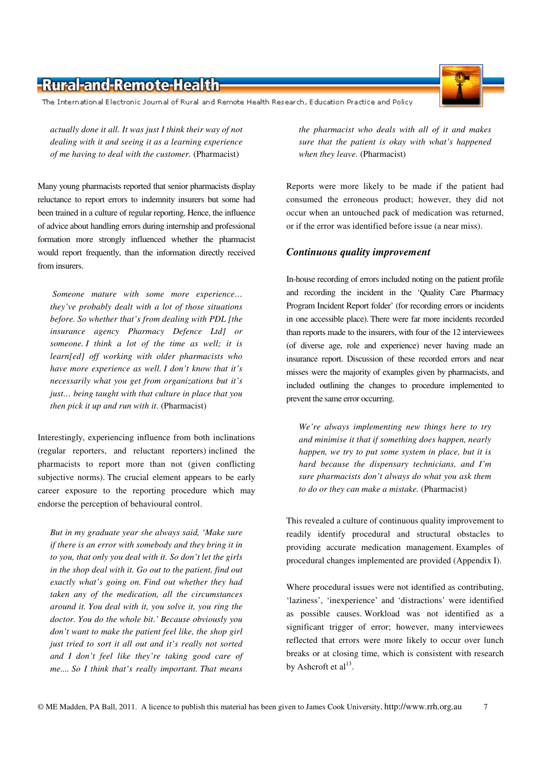© ME Madden, PA Ball, 2011. A licence to publish this material has been given to James Cook University, http://www.rrh.org.au 7

## -Rural-and-Remote-Health-

The International Electronic Journal of Rural and Remote Health Research, Education Practice and Policy

*actually done it all. It was just I think their way of not dealing with it and seeing it as a learning experience of me having to deal with the customer.* (Pharmacist)

Many young pharmacists reported that senior pharmacists display reluctance to report errors to indemnity insurers but some had been trained in a culture of regular reporting. Hence, the influence of advice about handling errors during internship and professional formation more strongly influenced whether the pharmacist would report frequently, than the information directly received from insurers.

 *Someone mature with some more experience… they've probably dealt with a lot of those situations before. So whether that's from dealing with PDL [the insurance agency Pharmacy Defence Ltd] or someone. I think a lot of the time as well; it is learn[ed] off working with older pharmacists who have more experience as well. I don't know that it's necessarily what you get from organizations but it's just… being taught with that culture in place that you then pick it up and run with it*. (Pharmacist)

Interestingly, experiencing influence from both inclinations (regular reporters, and reluctant reporters) inclined the pharmacists to report more than not (given conflicting subjective norms). The crucial element appears to be early career exposure to the reporting procedure which may endorse the perception of behavioural control.

*But in my graduate year she always said, 'Make sure if there is an error with somebody and they bring it in to you, that only you deal with it. So don't let the girls in the shop deal with it. Go out to the patient, find out exactly what's going on. Find out whether they had taken any of the medication, all the circumstances around it. You deal with it, you solve it, you ring the doctor. You do the whole bit.' Because obviously you don't want to make the patient feel like, the shop girl just tried to sort it all out and it's really not sorted and I don't feel like they're taking good care of me.... So I think that's really important. That means* 

*the pharmacist who deals with all of it and makes sure that the patient is okay with what's happened when they leave.* (Pharmacist)

Reports were more likely to be made if the patient had consumed the erroneous product; however, they did not occur when an untouched pack of medication was returned, or if the error was identified before issue (a near miss).

#### *Continuous quality improvement*

In-house recording of errors included noting on the patient profile and recording the incident in the 'Quality Care Pharmacy Program Incident Report folder' (for recording errors or incidents in one accessible place). There were far more incidents recorded than reports made to the insurers, with four of the 12 interviewees (of diverse age, role and experience) never having made an insurance report. Discussion of these recorded errors and near misses were the majority of examples given by pharmacists, and included outlining the changes to procedure implemented to prevent the same error occurring.

*We're always implementing new things here to try and minimise it that if something does happen, nearly happen, we try to put some system in place, but it is hard because the dispensary technicians, and I'm sure pharmacists don't always do what you ask them to do or they can make a mistake.* (Pharmacist)

This revealed a culture of continuous quality improvement to readily identify procedural and structural obstacles to providing accurate medication management. Examples of procedural changes implemented are provided (Appendix I).

Where procedural issues were not identified as contributing, 'laziness', 'inexperience' and 'distractions' were identified as possible causes. Workload was not identified as a significant trigger of error; however, many interviewees reflected that errors were more likely to occur over lunch breaks or at closing time, which is consistent with research by Ashcroft et  $al<sup>13</sup>$ .

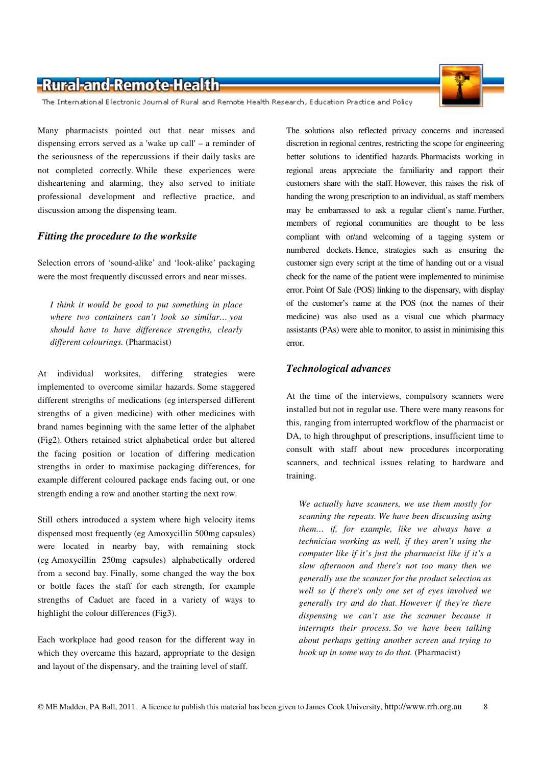The International Electronic Journal of Rural and Remote Health Research, Education Practice and Policy

Many pharmacists pointed out that near misses and dispensing errors served as a 'wake up call' – a reminder of the seriousness of the repercussions if their daily tasks are not completed correctly. While these experiences were disheartening and alarming, they also served to initiate professional development and reflective practice, and discussion among the dispensing team.

#### *Fitting the procedure to the worksite*

Selection errors of 'sound-alike' and 'look-alike' packaging were the most frequently discussed errors and near misses.

*I think it would be good to put something in place where two containers can't look so similar… you should have to have difference strengths, clearly different colourings.* (Pharmacist)

At individual worksites, differing strategies were implemented to overcome similar hazards. Some staggered different strengths of medications (eg interspersed different strengths of a given medicine) with other medicines with brand names beginning with the same letter of the alphabet (Fig2). Others retained strict alphabetical order but altered the facing position or location of differing medication strengths in order to maximise packaging differences, for example different coloured package ends facing out, or one strength ending a row and another starting the next row.

Still others introduced a system where high velocity items dispensed most frequently (eg Amoxycillin 500mg capsules) were located in nearby bay, with remaining stock (eg Amoxycillin 250mg capsules) alphabetically ordered from a second bay. Finally, some changed the way the box or bottle faces the staff for each strength, for example strengths of Caduet are faced in a variety of ways to highlight the colour differences (Fig3).

Each workplace had good reason for the different way in which they overcame this hazard, appropriate to the design and layout of the dispensary, and the training level of staff.

The solutions also reflected privacy concerns and increased discretion in regional centres, restricting the scope for engineering better solutions to identified hazards. Pharmacists working in regional areas appreciate the familiarity and rapport their customers share with the staff. However, this raises the risk of handing the wrong prescription to an individual, as staff members may be embarrassed to ask a regular client's name. Further, members of regional communities are thought to be less compliant with or/and welcoming of a tagging system or numbered dockets. Hence, strategies such as ensuring the customer sign every script at the time of handing out or a visual check for the name of the patient were implemented to minimise error. Point Of Sale (POS) linking to the dispensary, with display of the customer's name at the POS (not the names of their medicine) was also used as a visual cue which pharmacy assistants (PAs) were able to monitor, to assist in minimising this error.

#### *Technological advances*

At the time of the interviews, compulsory scanners were installed but not in regular use. There were many reasons for this, ranging from interrupted workflow of the pharmacist or DA, to high throughput of prescriptions, insufficient time to consult with staff about new procedures incorporating scanners, and technical issues relating to hardware and training.

*We actually have scanners, we use them mostly for scanning the repeats. We have been discussing using them… if, for example, like we always have a technician working as well, if they aren't using the computer like if it's just the pharmacist like if it's a slow afternoon and there's not too many then we generally use the scanner for the product selection as well so if there's only one set of eyes involved we generally try and do that. However if they're there dispensing we can't use the scanner because it interrupts their process. So we have been talking about perhaps getting another screen and trying to hook up in some way to do that.* (Pharmacist)



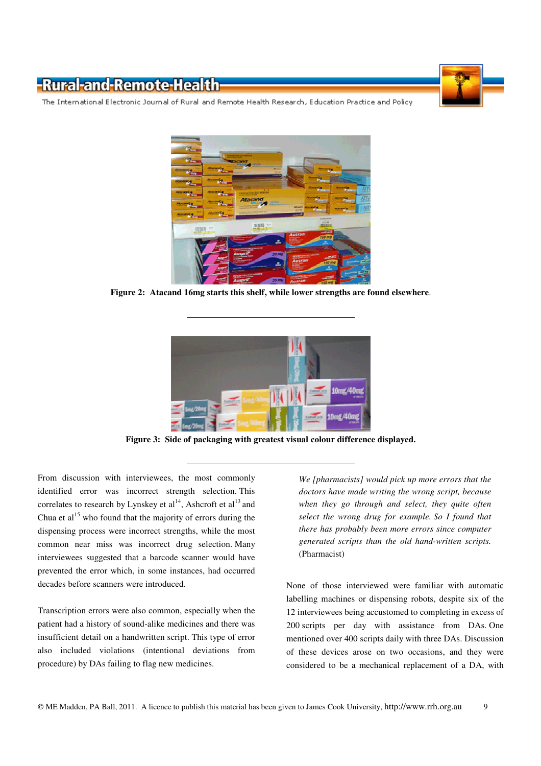

The International Electronic Journal of Rural and Remote Health Research, Education Practice and Policy



**Figure 2: Atacand 16mg starts this shelf, while lower strengths are found elsewhere**.



**Figure 3: Side of packaging with greatest visual colour difference displayed.** 

From discussion with interviewees, the most commonly identified error was incorrect strength selection. This correlates to research by Lynskey et  $al^{14}$ , Ashcroft et  $al^{13}$  and Chua et  $al<sup>15</sup>$  who found that the majority of errors during the dispensing process were incorrect strengths, while the most common near miss was incorrect drug selection. Many interviewees suggested that a barcode scanner would have prevented the error which, in some instances, had occurred decades before scanners were introduced.

Transcription errors were also common, especially when the patient had a history of sound-alike medicines and there was insufficient detail on a handwritten script. This type of error also included violations (intentional deviations from procedure) by DAs failing to flag new medicines.

*We [pharmacists] would pick up more errors that the doctors have made writing the wrong script, because when they go through and select, they quite often select the wrong drug for example. So I found that there has probably been more errors since computer generated scripts than the old hand-written scripts.* (Pharmacist)

None of those interviewed were familiar with automatic labelling machines or dispensing robots, despite six of the 12 interviewees being accustomed to completing in excess of 200 scripts per day with assistance from DAs. One mentioned over 400 scripts daily with three DAs. Discussion of these devices arose on two occasions, and they were considered to be a mechanical replacement of a DA, with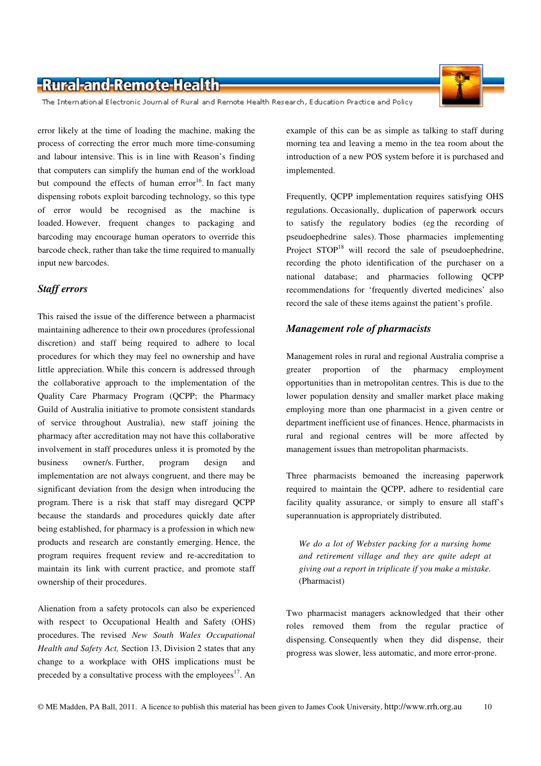The International Electronic Journal of Rural and Remote Health Research, Education Practice and Policy

error likely at the time of loading the machine, making the process of correcting the error much more time-consuming and labour intensive. This is in line with Reason's finding that computers can simplify the human end of the workload but compound the effects of human error<sup>16</sup>. In fact many dispensing robots exploit barcoding technology, so this type of error would be recognised as the machine is loaded. However, frequent changes to packaging and barcoding may encourage human operators to override this barcode check, rather than take the time required to manually input new barcodes.

#### *Staff errors*

This raised the issue of the difference between a pharmacist maintaining adherence to their own procedures (professional discretion) and staff being required to adhere to local procedures for which they may feel no ownership and have little appreciation. While this concern is addressed through the collaborative approach to the implementation of the Quality Care Pharmacy Program (QCPP; the Pharmacy Guild of Australia initiative to promote consistent standards of service throughout Australia), new staff joining the pharmacy after accreditation may not have this collaborative involvement in staff procedures unless it is promoted by the business owner/s. Further, program design and implementation are not always congruent, and there may be significant deviation from the design when introducing the program. There is a risk that staff may disregard QCPP because the standards and procedures quickly date after being established, for pharmacy is a profession in which new products and research are constantly emerging. Hence, the program requires frequent review and re-accreditation to maintain its link with current practice, and promote staff ownership of their procedures.

Alienation from a safety protocols can also be experienced with respect to Occupational Health and Safety (OHS) procedures. The revised *New South Wales Occupational Health and Safety Act,* Section 13, Division 2 states that any change to a workplace with OHS implications must be preceded by a consultative process with the employees<sup>17</sup>. An

example of this can be as simple as talking to staff during morning tea and leaving a memo in the tea room about the introduction of a new POS system before it is purchased and implemented.

Frequently, QCPP implementation requires satisfying OHS regulations. Occasionally, duplication of paperwork occurs to satisfy the regulatory bodies (eg the recording of pseudoephedrine sales). Those pharmacies implementing Project  $STOP<sup>18</sup>$  will record the sale of pseudoephedrine, recording the photo identification of the purchaser on a national database; and pharmacies following QCPP recommendations for 'frequently diverted medicines' also record the sale of these items against the patient's profile.

#### *Management role of pharmacists*

Management roles in rural and regional Australia comprise a greater proportion of the pharmacy employment opportunities than in metropolitan centres. This is due to the lower population density and smaller market place making employing more than one pharmacist in a given centre or department inefficient use of finances. Hence, pharmacists in rural and regional centres will be more affected by management issues than metropolitan pharmacists.

Three pharmacists bemoaned the increasing paperwork required to maintain the QCPP, adhere to residential care facility quality assurance, or simply to ensure all staff's superannuation is appropriately distributed.

*We do a lot of Webster packing for a nursing home and retirement village and they are quite adept at giving out a report in triplicate if you make a mistake.* (Pharmacist)

Two pharmacist managers acknowledged that their other roles removed them from the regular practice of dispensing. Consequently when they did dispense, their progress was slower, less automatic, and more error-prone.

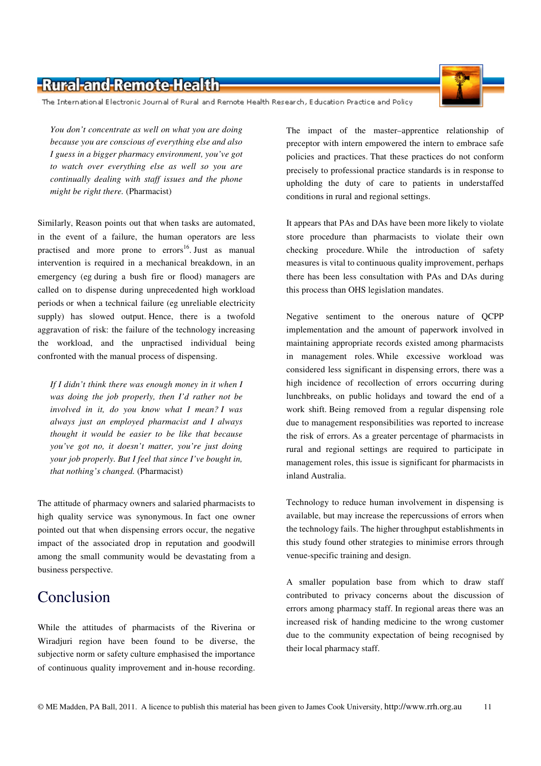The International Electronic Journal of Rural and Remote Health Research, Education Practice and Policy

*You don't concentrate as well on what you are doing because you are conscious of everything else and also I guess in a bigger pharmacy environment, you've got to watch over everything else as well so you are continually dealing with staff issues and the phone might be right there.* (Pharmacist)

Similarly, Reason points out that when tasks are automated, in the event of a failure, the human operators are less practised and more prone to  $\arccos$ <sup>16</sup>. Just as manual intervention is required in a mechanical breakdown, in an emergency (eg during a bush fire or flood) managers are called on to dispense during unprecedented high workload periods or when a technical failure (eg unreliable electricity supply) has slowed output. Hence, there is a twofold aggravation of risk: the failure of the technology increasing the workload, and the unpractised individual being confronted with the manual process of dispensing.

*If I didn't think there was enough money in it when I was doing the job properly, then I'd rather not be involved in it, do you know what I mean? I was always just an employed pharmacist and I always thought it would be easier to be like that because you've got no, it doesn't matter, you're just doing your job properly. But I feel that since I've bought in, that nothing's changed.* (Pharmacist)

The attitude of pharmacy owners and salaried pharmacists to high quality service was synonymous. In fact one owner pointed out that when dispensing errors occur, the negative impact of the associated drop in reputation and goodwill among the small community would be devastating from a business perspective.

## Conclusion

While the attitudes of pharmacists of the Riverina or Wiradjuri region have been found to be diverse, the subjective norm or safety culture emphasised the importance of continuous quality improvement and in-house recording. The impact of the master–apprentice relationship of preceptor with intern empowered the intern to embrace safe policies and practices. That these practices do not conform precisely to professional practice standards is in response to upholding the duty of care to patients in understaffed conditions in rural and regional settings.

It appears that PAs and DAs have been more likely to violate store procedure than pharmacists to violate their own checking procedure. While the introduction of safety measures is vital to continuous quality improvement, perhaps there has been less consultation with PAs and DAs during this process than OHS legislation mandates.

Negative sentiment to the onerous nature of QCPP implementation and the amount of paperwork involved in maintaining appropriate records existed among pharmacists in management roles. While excessive workload was considered less significant in dispensing errors, there was a high incidence of recollection of errors occurring during lunchbreaks, on public holidays and toward the end of a work shift. Being removed from a regular dispensing role due to management responsibilities was reported to increase the risk of errors. As a greater percentage of pharmacists in rural and regional settings are required to participate in management roles, this issue is significant for pharmacists in inland Australia.

Technology to reduce human involvement in dispensing is available, but may increase the repercussions of errors when the technology fails. The higher throughput establishments in this study found other strategies to minimise errors through venue-specific training and design.

A smaller population base from which to draw staff contributed to privacy concerns about the discussion of errors among pharmacy staff. In regional areas there was an increased risk of handing medicine to the wrong customer due to the community expectation of being recognised by their local pharmacy staff.

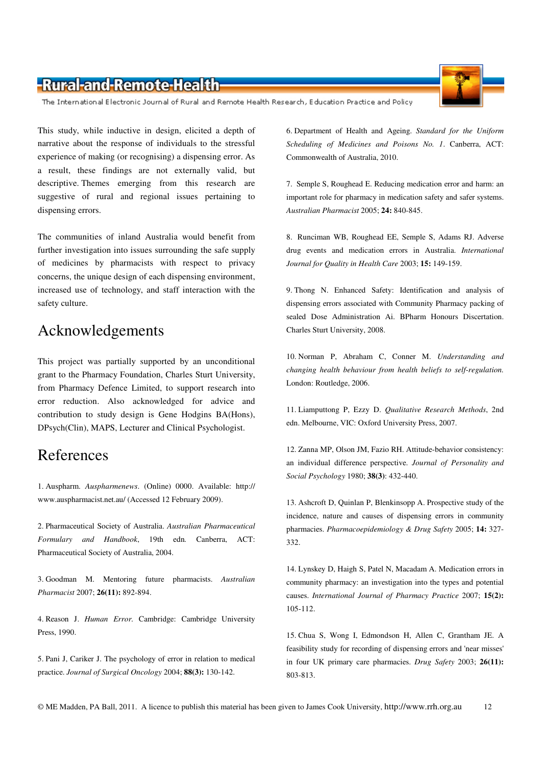The International Electronic Journal of Rural and Remote Health Research, Education Practice and Policy

This study, while inductive in design, elicited a depth of narrative about the response of individuals to the stressful experience of making (or recognising) a dispensing error. As a result, these findings are not externally valid, but descriptive. Themes emerging from this research are suggestive of rural and regional issues pertaining to dispensing errors.

The communities of inland Australia would benefit from further investigation into issues surrounding the safe supply of medicines by pharmacists with respect to privacy concerns, the unique design of each dispensing environment, increased use of technology, and staff interaction with the safety culture.

### Acknowledgements

This project was partially supported by an unconditional grant to the Pharmacy Foundation, Charles Sturt University, from Pharmacy Defence Limited, to support research into error reduction. Also acknowledged for advice and contribution to study design is Gene Hodgins BA(Hons), DPsych(Clin), MAPS, Lecturer and Clinical Psychologist.

### References

1. Auspharm. *Auspharmenews*. (Online) 0000. Available: http:// www.auspharmacist.net.au/ (Accessed 12 February 2009).

2. Pharmaceutical Society of Australia. *Australian Pharmaceutical Formulary and Handbook*, 19th edn*.* Canberra, ACT: Pharmaceutical Society of Australia, 2004.

3. Goodman M. Mentoring future pharmacists. *Australian Pharmacist* 2007; **26(11):** 892-894.

4. Reason J. *Human Error.* Cambridge: Cambridge University Press, 1990.

5. Pani J, Cariker J. The psychology of error in relation to medical practice. *Journal of Surgical Oncology* 2004; **88(3):** 130-142.

6. Department of Health and Ageing. *Standard for the Uniform Scheduling of Medicines and Poisons No. 1*. Canberra, ACT: Commonwealth of Australia, 2010.

7. Semple S, Roughead E. Reducing medication error and harm: an important role for pharmacy in medication safety and safer systems. *Australian Pharmacist* 2005; **24:** 840-845.

8. Runciman WB, Roughead EE, Semple S, Adams RJ. Adverse drug events and medication errors in Australia. *International Journal for Quality in Health Care* 2003; **15:** 149-159.

9. Thong N. Enhanced Safety: Identification and analysis of dispensing errors associated with Community Pharmacy packing of sealed Dose Administration Ai. BPharm Honours Discertation. Charles Sturt University, 2008.

10. Norman P, Abraham C, Conner M. *Understanding and changing health behaviour from health beliefs to self-regulation.* London: Routledge, 2006.

11. Liamputtong P, Ezzy D. *Qualitative Research Methods*, 2nd edn. Melbourne, VIC: Oxford University Press, 2007.

12. Zanna MP, Olson JM, Fazio RH. Attitude-behavior consistency: an individual difference perspective. *Journal of Personality and Social Psychology* 1980; **38(3)**: 432-440.

13. Ashcroft D, Quinlan P, Blenkinsopp A. Prospective study of the incidence, nature and causes of dispensing errors in community pharmacies. *Pharmacoepidemiology & Drug Safety* 2005; **14:** 327- 332.

14. Lynskey D, Haigh S, Patel N, Macadam A. Medication errors in community pharmacy: an investigation into the types and potential causes. *International Journal of Pharmacy Practice* 2007; **15(2):** 105-112.

15. Chua S, Wong I, Edmondson H, Allen C, Grantham JE. A feasibility study for recording of dispensing errors and 'near misses' in four UK primary care pharmacies. *Drug Safety* 2003; **26(11):** 803-813.